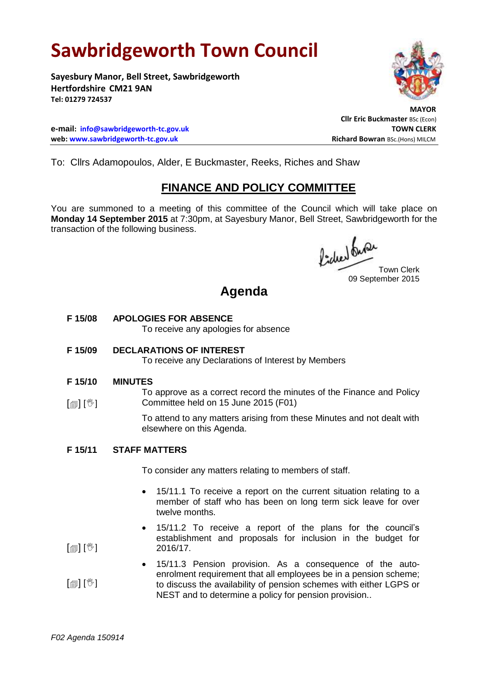# **Sawbridgeworth Town Council**

**Sayesbury Manor, Bell Street, Sawbridgeworth Hertfordshire CM21 9AN Tel: 01279 724537**

**e-mail: [info@sawbridgeworth-tc.gov.uk](mailto:info@sawbridgeworth-tc.gov.uk) TOWN CLERK web: www.sawbridgeworth-tc.gov.uk Richard Bowran BSc.(Hons) MILCM Richard Bowran BSc.(Hons) MILCM** 



 **MAYOR Cllr Eric Buckmaster** BSc (Econ)

To: Cllrs Adamopoulos, Alder, E Buckmaster, Reeks, Riches and Shaw

## **FINANCE AND POLICY COMMITTEE**

You are summoned to a meeting of this committee of the Council which will take place on **Monday 14 September 2015** at 7:30pm, at Sayesbury Manor, Bell Street, Sawbridgeworth for the transaction of the following business.

fided fune

Town Clerk 09 September 2015

## **Agenda**

**F 15/08 APOLOGIES FOR ABSENCE** To receive any apologies for absence

## **F 15/09 DECLARATIONS OF INTEREST**

To receive any Declarations of Interest by Members

#### **F 15/10 MINUTES**

 $\lceil \frac{m}{2} \rceil$   $\lceil \frac{m}{2} \rceil$ To approve as a correct record the minutes of the Finance and Policy Committee held on 15 June 2015 (F01)

> To attend to any matters arising from these Minutes and not dealt with elsewhere on this Agenda.

#### **F 15/11 STAFF MATTERS**

To consider any matters relating to members of staff.

- 15/11.1 To receive a report on the current situation relating to a member of staff who has been on long term sick leave for over twelve months.
- 15/11.2 To receive a report of the plans for the council's establishment and proposals for inclusion in the budget for 2016/17.
- $[\circledcirc]$   $[\circledcirc]$  15/11.3 Pension provision. As a consequence of the autoenrolment requirement that all employees be in a pension scheme; to discuss the availability of pension schemes with either LGPS or NEST and to determine a policy for pension provision..

 $\lceil$   $\blacksquare$   $\rfloor$   $\lceil$   $\mathbb{V}$   $\rceil$